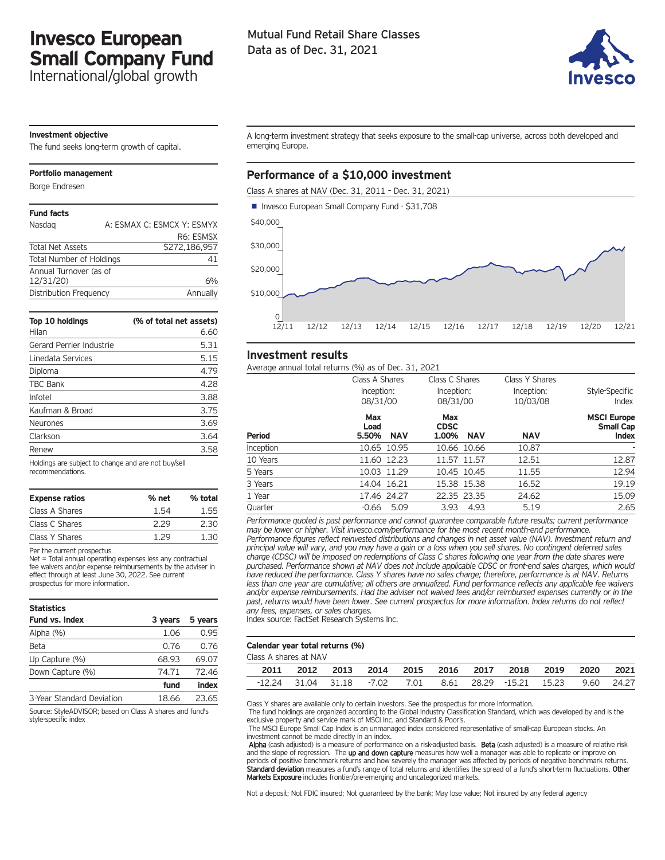# **Invesco European Small Company Fund**

International/global growth

# Mutual Fund Retail Share Classes Data as of Dec. 31, 2021



#### **Investment objective**

The fund seeks long-term growth of capital.

#### **Portfolio management**

Borge Endresen

| <b>Fund facts</b>               |                            |
|---------------------------------|----------------------------|
| Nasdag                          | A: ESMAX C: ESMCX Y: ESMYX |
|                                 | R <sub>6</sub> : ESMSX     |
| <b>Total Net Assets</b>         | \$272,186,957              |
| <b>Total Number of Holdings</b> | 41                         |
| Annual Turnover (as of          |                            |
| 12/31/20)                       | 6%                         |
| Distribution Frequency          | Annually                   |

| Top 10 holdings<br>Hilan | (% of total net assets)<br>6.60 |
|--------------------------|---------------------------------|
| Gerard Perrier Industrie | 5.31                            |
| Linedata Services        | 5.15                            |
| Diploma                  | 4.79                            |
| TBC Bank                 | 4.28                            |
| Infotel                  | 3.88                            |
| Kaufman & Broad          | 3.75                            |
| <b>Neurones</b>          | 3.69                            |
| Clarkson                 | 3.64                            |
| Renew                    | 3.58                            |
|                          |                                 |

Holdings are subject to change and are not buy/sell recommendations.

| <b>Expense ratios</b> | % net | % total |
|-----------------------|-------|---------|
| Class A Shares        | 1.54  | 1.55    |
| Class C Shares        | 2.29  | 2.30    |
| Class Y Shares        | 1 29  | 1.30    |

#### Per the current prospectus

Net = Total annual operating expenses less any contractual fee waivers and/or expense reimbursements by the adviser in effect through at least June 30, 2022. See current prospectus for more information.

| <b>Statistics</b>         |         |         |
|---------------------------|---------|---------|
| Fund vs. Index            | 3 years | 5 years |
| Alpha (%)                 | 1.06    | 0.95    |
| Beta                      | 0.76    | 0.76    |
| Up Capture (%)            | 68.93   | 69.07   |
| Down Capture (%)          | 74.71   | 72.46   |
|                           | fund    | index   |
| 3-Year Standard Deviation | 18.66   | 23.65   |

Source: StyleADVISOR; based on Class A shares and fund's style-specific index

A long-term investment strategy that seeks exposure to the small-cap universe, across both developed and emerging Europe.

## **Performance of a \$10,000 investment**

Class A shares at NAV (Dec. 31, 2011 – Dec. 31, 2021)



### **Investment results**

Average annual total returns (%) as of Dec. 31, 2021

|               | Average annual total returns (70) as or Dec. 91, 2021 |                                           |                                          |                                                 |
|---------------|-------------------------------------------------------|-------------------------------------------|------------------------------------------|-------------------------------------------------|
|               | Class A Shares<br>Inception:<br>08/31/00              | Class C Shares<br>Inception:<br>08/31/00  | Class Y Shares<br>Inception:<br>10/03/08 | Style-Specific<br>Index                         |
| <b>Period</b> | Max<br>Load<br><b>NAV</b><br>5.50%                    | Max<br><b>CDSC</b><br>1.00%<br><b>NAV</b> | <b>NAV</b>                               | <b>MSCI Europe</b><br>Small Cap<br><b>Index</b> |
| Inception     | 10.65 10.95                                           | 10.66 10.66                               | 10.87                                    |                                                 |
| 10 Years      | 11.60 12.23                                           | 11.57 11.57                               | 12.51                                    | 12.87                                           |
| 5 Years       | 10.03 11.29                                           | 10.45 10.45                               | 11.55                                    | 12.94                                           |
| 3 Years       | 14.04 16.21                                           | 15.38 15.38                               | 16.52                                    | 19.19                                           |
| 1 Year        | 17.46 24.27                                           | 22.35 23.35                               | 24.62                                    | 15.09                                           |
| Quarter       | 5.09<br>-0.66                                         | 4.93<br>3.93                              | 5.19                                     | 2.65                                            |

*Performance quoted is past performance and cannot guarantee comparable future results; current performance may be lower or higher. Visit invesco.com/performance for the most recent month-end performance. Performance figures reflect reinvested distributions and changes in net asset value (NAV). Investment return and* principal value will vary, and you may have a gain or a loss when you sell shares. No contingent deferred sales charge (CDSC) will be imposed on redemptions of Class C shares following one year from the date shares were *purchased. Performance shown at NAV does not include applicable CDSC or front-end sales charges, which would* have reduced the performance. Class Y shares have no sales charge; therefore, performance is at NAV. Returns less than one year are cumulative; all others are annualized. Fund performance reflects any applicable fee waivers *and/or expense reimbursements. Had the adviser not waived fees and/or reimbursed expenses currently or in the* past, returns would have been lower. See current prospectus for more information. Index returns do not reflect *any fees, expenses, or sales charges.*

Index source: FactSet Research Systems Inc.

#### **Calendar year total returns (%)**

Class A shares at NAV

| Jass A snares at NAV |           |                          |  |  |                                                                  |      |
|----------------------|-----------|--------------------------|--|--|------------------------------------------------------------------|------|
| 2011                 | 2012 2013 | 2014 2015 2016 2017 2018 |  |  | 2019 2020                                                        | 2021 |
|                      |           |                          |  |  | -12.24 31.04 31.18 -7.02 7.01 8.61 28.29 -15.21 15.23 9.60 24.27 |      |

Class Y shares are available only to certain investors. See the prospectus for more information.

The fund holdings are organized according to the Global Industry Classification Standard, which was developed by and is the exclusive property and service mark of MSCI Inc. and Standard & Poor's.

The MSCI Europe Small Cap Index is an unmanaged index considered representative of small-cap European stocks. An investment cannot be made directly in an index.

Alpha (cash adjusted) is a measure of performance on a risk-adjusted basis. Beta (cash adjusted) is a measure of relative risk and the slope of regression. The up and down capture measures how well a manager was able to replicate or improve on periods of positive benchmark returns and how severely the manager was affected by periods of negative benchmark returns. Standard deviation measures a fund's range of total returns and identifies the spread of a fund's short-term fluctuations. Other Markets Exposure includes frontier/pre-emerging and uncategorized markets.

Not a deposit; Not FDIC insured; Not guaranteed by the bank; May lose value; Not insured by any federal agency